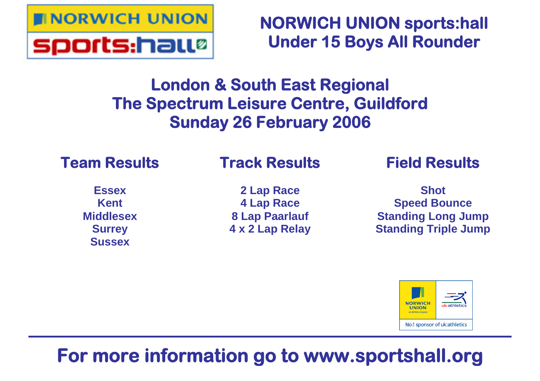

**NORWICH UNION sports:hall Under 15 Boys All Rounder**

# **London & South East Regional The Spectrum Leisure Centre, Guildford Sunday 26 February 2006**

## **Team Results**

## **Track Results**

**Essex Kent Middlesex Surrey Sussex**

**2 Lap Race 4 Lap Race 8 Lap Paarlauf 4 x 2 Lap Relay** **Field Results**

**Shot Speed Bounce Standing Long Jump Standing Triple Jump**



# **For more information go to www.sportshall.org**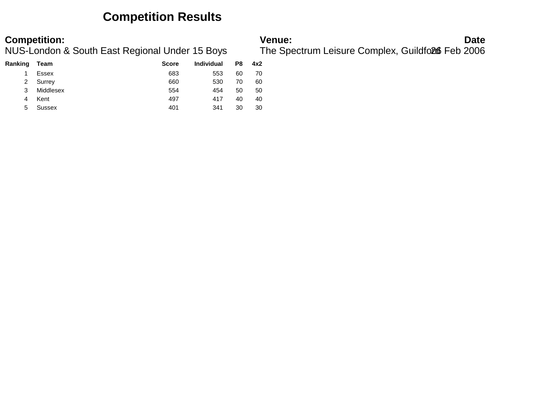### **Competition Results**

| Ranking | Team      | <b>Score</b> | <b>Individual</b> | P8 | 4x2 |
|---------|-----------|--------------|-------------------|----|-----|
|         | Essex     | 683          | 553               | 60 | 70  |
| 2       | Surrey    | 660          | 530               | 70 | 60  |
| 3       | Middlesex | 554          | 454               | 50 | 50  |
| 4       | Kent      | 497          | 417               | 40 | 40  |
| 5       | Sussex    | 401          | 341               | 30 | 30  |

**Competition:**<br>**Date**<br>NUS-London & South East Regional Under 15 Boys The Spectrum Leisure Complex, Guildfoll Feb 2006 The Spectrum Leisure Complex, Guildford6 Feb 2006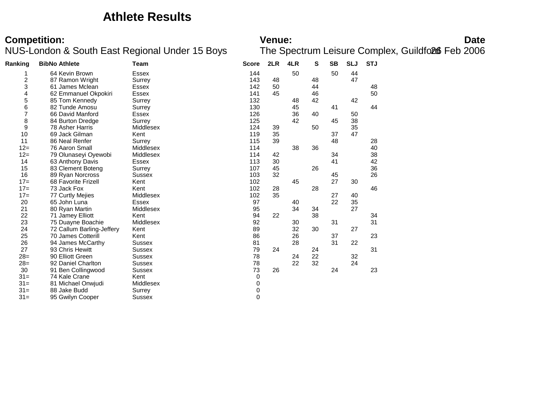### **Athlete Results**

# **Competition:**<br>**Date**<br>NUS-London & South East Regional Under 15 Boys The Spectrum Leisure Complex, Guildfoll Feb 2006

| Ranking                 | <b>BibNo Athlete</b>      | Team          | <b>Score</b> | 2LR | 4LR | S  | SB | <b>SLJ</b> | <b>STJ</b> |  |
|-------------------------|---------------------------|---------------|--------------|-----|-----|----|----|------------|------------|--|
|                         | 64 Kevin Brown            | <b>Essex</b>  | 144          |     | 50  |    | 50 | 44         |            |  |
| $\overline{\mathbf{c}}$ | 87 Ramon Wright           | Surrey        | 143          | 48  |     | 48 |    | 47         |            |  |
| 3                       | 61 James Mclean           | Essex         | 142          | 50  |     | 44 |    |            | 48         |  |
| 4                       | 62 Emmanuel Okpokiri      | <b>Essex</b>  | 141          | 45  |     | 46 |    |            | 50         |  |
| 5                       | 85 Tom Kennedy            | Surrey        | 132          |     | 48  | 42 |    | 42         |            |  |
| 6                       | 82 Tunde Amosu            | Surrey        | 130          |     | 45  |    | 41 |            | 44         |  |
| $\overline{7}$          | 66 David Manford          | Essex         | 126          |     | 36  | 40 |    | 50         |            |  |
| 8                       | 84 Burton Dredge          | Surrey        | 125          |     | 42  |    | 45 | 38         |            |  |
| 9                       | 78 Asher Harris           | Middlesex     | 124          | 39  |     | 50 |    | 35         |            |  |
| 10                      | 69 Jack Gilman            | Kent          | 119          | 35  |     |    | 37 | 47         |            |  |
| 11                      | 86 Neal Renfer            | Surrey        | 115          | 39  |     |    | 48 |            | 28         |  |
| $12 =$                  | 76 Aaron Small            | Middlesex     | 114          |     | 38  | 36 |    |            | 40         |  |
| $12 =$                  | 79 Olunaseyi Oyewobi      | Middlesex     | 114          | 42  |     |    | 34 |            | 38         |  |
| 14                      | 63 Anthony Davis          | Essex         | 113          | 30  |     |    | 41 |            | 42         |  |
| 15                      | 83 Clement Boteng         | Surrey        | 107          | 45  |     | 26 |    |            | 36         |  |
| 16                      | 89 Ryan Norcross          | Sussex        | 103          | 32  |     |    | 45 |            | 26         |  |
| $17=$                   | 68 Favorite Frizell       | Kent          | 102          |     | 45  |    | 27 | 30         |            |  |
| $17=$                   | 73 Jack Fox               | Kent          | 102          | 28  |     | 28 |    |            | 46         |  |
| $17=$                   | 77 Curtly Mejies          | Middlesex     | 102          | 35  |     |    | 27 | 40         |            |  |
| 20                      | 65 John Luna              | Essex         | 97           |     | 40  |    | 22 | 35         |            |  |
| 21                      | 80 Ryan Martin            | Middlesex     | 95           |     | 34  | 34 |    | 27         |            |  |
| 22                      | 71 Jamey Elliott          | Kent          | 94           | 22  |     | 38 |    |            | 34         |  |
| 23                      | 75 Duayne Boachie         | Middlesex     | 92           |     | 30  |    | 31 |            | 31         |  |
| 24                      | 72 Callum Barling-Jeffery | Kent          | 89           |     | 32  | 30 |    | 27         |            |  |
| 25                      | 70 James Cotterill        | Kent          | 86           |     | 26  |    | 37 |            | 23         |  |
| 26                      | 94 James McCarthy         | Sussex        | 81           |     | 28  |    | 31 | 22         |            |  |
| 27                      | 93 Chris Hewitt           | <b>Sussex</b> | 79           | 24  |     | 24 |    |            | 31         |  |
| $28=$                   | 90 Elliott Green          | Sussex        | 78           |     | 24  | 22 |    | 32         |            |  |
| $28=$                   | 92 Daniel Charlton        | <b>Sussex</b> | 78           |     | 22  | 32 |    | 24         |            |  |
| 30                      | 91 Ben Collingwood        | <b>Sussex</b> | 73           | 26  |     |    | 24 |            | 23         |  |
| $31 =$                  | 74 Kale Crane             | Kent          | 0            |     |     |    |    |            |            |  |
| $31 =$                  | 81 Michael Onwjudi        | Middlesex     | 0            |     |     |    |    |            |            |  |
| $31 =$                  | 88 Jake Budd              | Surrey        | 0            |     |     |    |    |            |            |  |
| $31 =$                  | 95 Gwilyn Cooper          | Sussex        | 0            |     |     |    |    |            |            |  |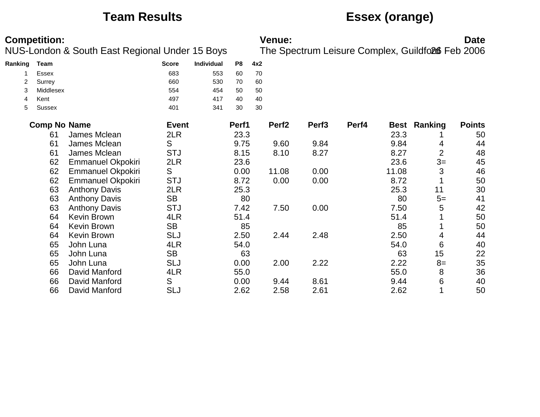## **Team Results Essex (orange)**

| <b>Competition:</b><br>NUS-London & South East Regional Under 15 Boys |                     |                          |              |            |                |     | <b>Venue:</b>     |                   |       |             | The Spectrum Leisure Complex, Guildfo26 Feb 2006 | <b>Date</b>   |
|-----------------------------------------------------------------------|---------------------|--------------------------|--------------|------------|----------------|-----|-------------------|-------------------|-------|-------------|--------------------------------------------------|---------------|
| Ranking                                                               | <b>Team</b>         |                          | <b>Score</b> | Individual | P <sub>8</sub> | 4x2 |                   |                   |       |             |                                                  |               |
|                                                                       | Essex               |                          | 683          | 553        | 60             | 70  |                   |                   |       |             |                                                  |               |
| 2                                                                     | Surrey              |                          | 660          | 530        | 70             | 60  |                   |                   |       |             |                                                  |               |
| 3                                                                     | Middlesex           |                          | 554          | 454        | 50             | 50  |                   |                   |       |             |                                                  |               |
| 4                                                                     | Kent                |                          | 497          | 417        | 40             | 40  |                   |                   |       |             |                                                  |               |
| 5                                                                     | <b>Sussex</b>       |                          | 401          | 341        | 30             | 30  |                   |                   |       |             |                                                  |               |
|                                                                       | <b>Comp No Name</b> |                          | <b>Event</b> |            | Perf1          |     | Perf <sub>2</sub> | Perf <sub>3</sub> | Perf4 | <b>Best</b> | Ranking                                          | <b>Points</b> |
|                                                                       | 61                  | James Mclean             | 2LR          |            | 23.3           |     |                   |                   |       | 23.3        |                                                  | 50            |
|                                                                       | 61                  | James Mclean             | S            |            | 9.75           |     | 9.60              | 9.84              |       | 9.84        | 4                                                | 44            |
|                                                                       | 61                  | James Mclean             | <b>STJ</b>   |            | 8.15           |     | 8.10              | 8.27              |       | 8.27        | $\overline{2}$                                   | 48            |
|                                                                       | 62                  | <b>Emmanuel Okpokiri</b> | 2LR          |            | 23.6           |     |                   |                   |       | 23.6        | $3=$                                             | 45            |
|                                                                       | 62                  | <b>Emmanuel Okpokiri</b> | S            |            | 0.00           |     | 11.08             | 0.00              |       | 11.08       | 3                                                | 46            |
|                                                                       | 62                  | <b>Emmanuel Okpokiri</b> | <b>STJ</b>   |            | 8.72           |     | 0.00              | 0.00              |       | 8.72        |                                                  | 50            |
|                                                                       | 63                  | <b>Anthony Davis</b>     | 2LR          |            | 25.3           |     |                   |                   |       | 25.3        | 11                                               | 30            |
|                                                                       | 63                  | <b>Anthony Davis</b>     | <b>SB</b>    |            | 80             |     |                   |                   |       | 80          | $5=$                                             | 41            |
|                                                                       | 63                  | <b>Anthony Davis</b>     | <b>STJ</b>   |            | 7.42           |     | 7.50              | 0.00              |       | 7.50        | 5                                                | 42            |
|                                                                       | 64                  | <b>Kevin Brown</b>       | 4LR          |            | 51.4           |     |                   |                   |       | 51.4        |                                                  | 50            |
|                                                                       | 64                  | <b>Kevin Brown</b>       | <b>SB</b>    |            | 85             |     |                   |                   |       | 85          |                                                  | 50            |
|                                                                       | 64                  | <b>Kevin Brown</b>       | <b>SLJ</b>   |            | 2.50           |     | 2.44              | 2.48              |       | 2.50        | 4                                                | 44            |
|                                                                       | 65                  | John Luna                | 4LR          |            | 54.0           |     |                   |                   |       | 54.0        | 6                                                | 40            |
|                                                                       | 65                  | John Luna                | <b>SB</b>    |            | 63             |     |                   |                   |       | 63          | 15                                               | 22            |
|                                                                       | 65                  | John Luna                | <b>SLJ</b>   |            | 0.00           |     | 2.00              | 2.22              |       | 2.22        | $8=$                                             | 35            |
|                                                                       | 66                  | David Manford            | 4LR          |            | 55.0           |     |                   |                   |       | 55.0        | 8                                                | 36            |
|                                                                       | 66                  | David Manford            | S            |            | 0.00           |     | 9.44              | 8.61              |       | 9.44        | 6                                                | 40            |
|                                                                       | 66                  | David Manford            | <b>SLJ</b>   |            | 2.62           |     | 2.58              | 2.61              |       | 2.62        |                                                  | 50            |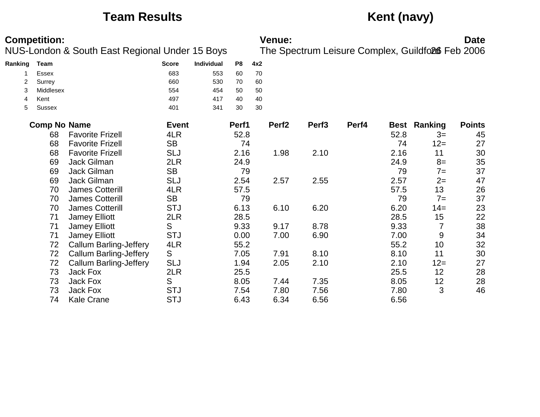## **Team Results Kent (navy)**

| <b>Competition:</b><br>NUS-London & South East Regional Under 15 Boys |                       |                               |              |            |          |          | Venue:            |                   |       |      | The Spectrum Leisure Complex, Guildfo26 Feb 2006 | <b>Date</b>   |
|-----------------------------------------------------------------------|-----------------------|-------------------------------|--------------|------------|----------|----------|-------------------|-------------------|-------|------|--------------------------------------------------|---------------|
|                                                                       |                       |                               |              |            |          |          |                   |                   |       |      |                                                  |               |
| Ranking                                                               | <b>Team</b>           |                               | <b>Score</b> | Individual | P8       | 4x2      |                   |                   |       |      |                                                  |               |
|                                                                       | Essex                 |                               | 683          | 553        | 60       | 70       |                   |                   |       |      |                                                  |               |
| 2                                                                     | Surrey                |                               | 660          | 530        | 70       | 60       |                   |                   |       |      |                                                  |               |
| 3                                                                     | Middlesex             |                               | 554          | 454        | 50       | 50       |                   |                   |       |      |                                                  |               |
| 4<br>5                                                                | Kent<br><b>Sussex</b> |                               | 497<br>401   | 417<br>341 | 40<br>30 | 40<br>30 |                   |                   |       |      |                                                  |               |
|                                                                       | <b>Comp No Name</b>   |                               | <b>Event</b> |            | Perf1    |          | Perf <sub>2</sub> | Perf <sub>3</sub> | Perf4 | Best | Ranking                                          | <b>Points</b> |
|                                                                       | 68                    | <b>Favorite Frizell</b>       | 4LR          |            | 52.8     |          |                   |                   |       | 52.8 | $3=$                                             | 45            |
|                                                                       | 68                    | <b>Favorite Frizell</b>       | <b>SB</b>    |            | 74       |          |                   |                   |       | 74   | $12 =$                                           | 27            |
|                                                                       | 68                    | <b>Favorite Frizell</b>       | <b>SLJ</b>   |            | 2.16     |          | 1.98              | 2.10              |       | 2.16 | 11                                               | 30            |
|                                                                       | 69                    | Jack Gilman                   | 2LR          |            | 24.9     |          |                   |                   |       | 24.9 | $8=$                                             | 35            |
|                                                                       | 69                    | Jack Gilman                   | <b>SB</b>    |            | 79       |          |                   |                   |       | 79   | $7=$                                             | 37            |
|                                                                       | 69                    | Jack Gilman                   | <b>SLJ</b>   |            | 2.54     |          | 2.57              | 2.55              |       | 2.57 | $2=$                                             | 47            |
|                                                                       | 70                    | <b>James Cotterill</b>        | 4LR          |            | 57.5     |          |                   |                   |       | 57.5 | 13                                               | 26            |
|                                                                       | 70                    | <b>James Cotterill</b>        | <b>SB</b>    |            | 79       |          |                   |                   |       | 79   | $7=$                                             | 37            |
|                                                                       | 70                    | James Cotterill               | <b>STJ</b>   |            | 6.13     |          | 6.10              | 6.20              |       | 6.20 | $14=$                                            | 23            |
|                                                                       | 71                    | <b>Jamey Elliott</b>          | 2LR          |            | 28.5     |          |                   |                   |       | 28.5 | 15                                               | 22            |
|                                                                       | 71                    | <b>Jamey Elliott</b>          | S            |            | 9.33     |          | 9.17              | 8.78              |       | 9.33 | $\overline{7}$                                   | 38            |
|                                                                       | 71                    | <b>Jamey Elliott</b>          | <b>STJ</b>   |            | 0.00     |          | 7.00              | 6.90              |       | 7.00 | 9                                                | 34            |
|                                                                       | 72                    | <b>Callum Barling-Jeffery</b> | 4LR          |            | 55.2     |          |                   |                   |       | 55.2 | 10                                               | 32            |
|                                                                       | 72                    | <b>Callum Barling-Jeffery</b> | S            |            | 7.05     |          | 7.91              | 8.10              |       | 8.10 | 11                                               | 30            |
|                                                                       | 72                    | <b>Callum Barling-Jeffery</b> | <b>SLJ</b>   |            | 1.94     |          | 2.05              | 2.10              |       | 2.10 | $12 =$                                           | 27            |
|                                                                       | 73                    | Jack Fox                      | 2LR          |            | 25.5     |          |                   |                   |       | 25.5 | 12                                               | 28            |
|                                                                       | 73                    | Jack Fox                      | S            |            | 8.05     |          | 7.44              | 7.35              |       | 8.05 | 12                                               | 28            |
|                                                                       | 73                    | Jack Fox                      | <b>STJ</b>   |            | 7.54     |          | 7.80              | 7.56              |       | 7.80 | 3                                                | 46            |
|                                                                       | 74                    | <b>Kale Crane</b>             | <b>STJ</b>   |            | 6.43     |          | 6.34              | 6.56              |       | 6.56 |                                                  |               |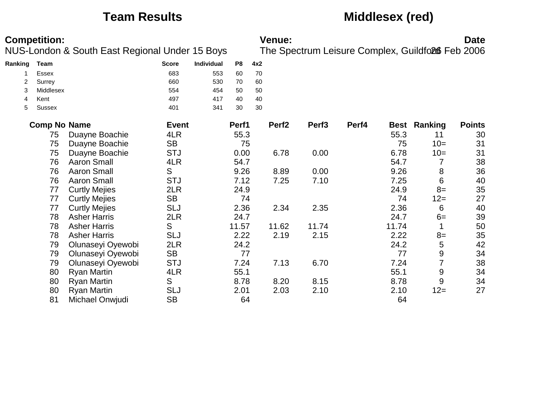## **Team Results Middlesex (red)**

| <b>Competition:</b><br>NUS-London & South East Regional Under 15 Boys |                     |                      |              |            |                |     | Venue:            |                   |       |       |                                                  | <b>Date</b>   |
|-----------------------------------------------------------------------|---------------------|----------------------|--------------|------------|----------------|-----|-------------------|-------------------|-------|-------|--------------------------------------------------|---------------|
|                                                                       |                     |                      |              |            |                |     |                   |                   |       |       | The Spectrum Leisure Complex, Guildfo26 Feb 2006 |               |
| Ranking                                                               | <b>Team</b>         |                      | <b>Score</b> | Individual | P <sub>8</sub> | 4x2 |                   |                   |       |       |                                                  |               |
|                                                                       | <b>Essex</b>        |                      | 683          | 553        | 60             | 70  |                   |                   |       |       |                                                  |               |
| 2                                                                     | Surrey              |                      | 660          | 530        | 70             | 60  |                   |                   |       |       |                                                  |               |
| 3                                                                     | Middlesex           |                      | 554          | 454        | 50             | 50  |                   |                   |       |       |                                                  |               |
| 4                                                                     | Kent                |                      | 497          | 417        | 40             | 40  |                   |                   |       |       |                                                  |               |
| 5                                                                     | <b>Sussex</b>       |                      | 401          | 341        | 30             | 30  |                   |                   |       |       |                                                  |               |
|                                                                       | <b>Comp No Name</b> |                      | <b>Event</b> |            | Perf1          |     | Perf <sub>2</sub> | Perf <sub>3</sub> | Perf4 |       | <b>Best Ranking</b>                              | <b>Points</b> |
|                                                                       | 75                  | Duayne Boachie       | 4LR          |            | 55.3           |     |                   |                   |       | 55.3  | 11                                               | 30            |
|                                                                       | 75                  | Duayne Boachie       | <b>SB</b>    |            | 75             |     |                   |                   |       | 75    | $10=$                                            | 31            |
|                                                                       | 75                  | Duayne Boachie       | <b>STJ</b>   |            | 0.00           |     | 6.78              | 0.00              |       | 6.78  | $10=$                                            | 31            |
|                                                                       | 76                  | <b>Aaron Small</b>   | 4LR          |            | 54.7           |     |                   |                   |       | 54.7  |                                                  | 38            |
|                                                                       | 76                  | <b>Aaron Small</b>   | S            |            | 9.26           |     | 8.89              | 0.00              |       | 9.26  | 8                                                | 36            |
|                                                                       | 76                  | <b>Aaron Small</b>   | <b>STJ</b>   |            | 7.12           |     | 7.25              | 7.10              |       | 7.25  | $6\phantom{1}6$                                  | 40            |
|                                                                       | 77                  | <b>Curtly Mejies</b> | 2LR          |            | 24.9           |     |                   |                   |       | 24.9  | $8=$                                             | 35            |
|                                                                       | 77                  | <b>Curtly Mejies</b> | <b>SB</b>    |            | 74             |     |                   |                   |       | 74    | $12 =$                                           | 27            |
|                                                                       | 77                  | <b>Curtly Mejies</b> | <b>SLJ</b>   |            | 2.36           |     | 2.34              | 2.35              |       | 2.36  | 6                                                | 40            |
|                                                                       | 78                  | <b>Asher Harris</b>  | 2LR          |            | 24.7           |     |                   |                   |       | 24.7  | $6=$                                             | 39            |
|                                                                       | 78                  | <b>Asher Harris</b>  | S            |            | 11.57          |     | 11.62             | 11.74             |       | 11.74 |                                                  | 50            |
|                                                                       | 78                  | <b>Asher Harris</b>  | <b>SLJ</b>   |            | 2.22           |     | 2.19              | 2.15              |       | 2.22  | $8=$                                             | 35            |
|                                                                       | 79                  | Olunaseyi Oyewobi    | 2LR          |            | 24.2           |     |                   |                   |       | 24.2  | 5                                                | 42            |
|                                                                       | 79                  | Olunaseyi Oyewobi    | <b>SB</b>    |            | 77             |     |                   |                   |       | 77    | $\boldsymbol{9}$                                 | 34            |
|                                                                       | 79                  | Olunaseyi Oyewobi    | <b>STJ</b>   |            | 7.24           |     | 7.13              | 6.70              |       | 7.24  | $\overline{7}$                                   | 38            |
|                                                                       | 80                  | <b>Ryan Martin</b>   | 4LR          |            | 55.1           |     |                   |                   |       | 55.1  | $\overline{9}$                                   | 34            |
|                                                                       | 80                  | <b>Ryan Martin</b>   | S            |            | 8.78           |     | 8.20              | 8.15              |       | 8.78  | 9                                                | 34            |
|                                                                       | 80                  | <b>Ryan Martin</b>   | <b>SLJ</b>   |            | 2.01           |     | 2.03              | 2.10              |       | 2.10  | $12 =$                                           | 27            |
|                                                                       | 81                  | Michael Onwjudi      | <b>SB</b>    |            | 64             |     |                   |                   |       | 64    |                                                  |               |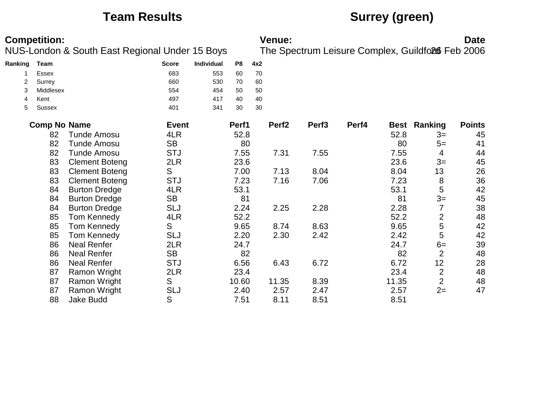## **Team Results Surrey (green)**

|         | <b>Competition:</b> | NUS-London & South East Regional Under 15 Boys |              |            |       |     | <b>Venue:</b>     |                   |       |             | The Spectrum Leisure Complex, Guildfo26 Feb 2006 | <b>Date</b>   |
|---------|---------------------|------------------------------------------------|--------------|------------|-------|-----|-------------------|-------------------|-------|-------------|--------------------------------------------------|---------------|
| Ranking | <b>Team</b>         |                                                | <b>Score</b> | Individual | P8    | 4x2 |                   |                   |       |             |                                                  |               |
|         | <b>Essex</b>        |                                                | 683          | 553        | 60    | 70  |                   |                   |       |             |                                                  |               |
| 2       | Surrey              |                                                | 660          | 530        | 70    | 60  |                   |                   |       |             |                                                  |               |
| 3       | Middlesex           |                                                | 554          | 454        | 50    | 50  |                   |                   |       |             |                                                  |               |
| 4       | Kent                |                                                | 497          | 417        | 40    | 40  |                   |                   |       |             |                                                  |               |
| 5       | Sussex              |                                                | 401          | 341        | 30    | 30  |                   |                   |       |             |                                                  |               |
|         | <b>Comp No Name</b> |                                                | <b>Event</b> |            | Perf1 |     | Perf <sub>2</sub> | Perf <sub>3</sub> | Perf4 | <b>Best</b> | Ranking                                          | <b>Points</b> |
|         | 82                  | <b>Tunde Amosu</b>                             | 4LR          |            | 52.8  |     |                   |                   |       | 52.8        | $3=$                                             | 45            |
|         | 82                  | <b>Tunde Amosu</b>                             | <b>SB</b>    |            | 80    |     |                   |                   |       | 80          | $5=$                                             | 41            |
|         | 82                  | <b>Tunde Amosu</b>                             | <b>STJ</b>   |            | 7.55  |     | 7.31              | 7.55              |       | 7.55        | 4                                                | 44            |
|         | 83                  | <b>Clement Boteng</b>                          | 2LR          |            | 23.6  |     |                   |                   |       | 23.6        | $3=$                                             | 45            |
|         | 83                  | <b>Clement Boteng</b>                          | S            |            | 7.00  |     | 7.13              | 8.04              |       | 8.04        | 13                                               | 26            |
|         | 83                  | <b>Clement Boteng</b>                          | <b>STJ</b>   |            | 7.23  |     | 7.16              | 7.06              |       | 7.23        | 8                                                | 36            |
|         | 84                  | <b>Burton Dredge</b>                           | 4LR          |            | 53.1  |     |                   |                   |       | 53.1        | 5                                                | 42            |
|         | 84                  | <b>Burton Dredge</b>                           | <b>SB</b>    |            | 81    |     |                   |                   |       | 81          | $3=$                                             | 45            |
|         | 84                  | <b>Burton Dredge</b>                           | <b>SLJ</b>   |            | 2.24  |     | 2.25              | 2.28              |       | 2.28        | 7                                                | 38            |
|         | 85                  | <b>Tom Kennedy</b>                             | 4LR          |            | 52.2  |     |                   |                   |       | 52.2        | $\overline{2}$                                   | 48            |
|         | 85                  | Tom Kennedy                                    | S            |            | 9.65  |     | 8.74              | 8.63              |       | 9.65        | $\sqrt{5}$                                       | 42            |
|         | 85                  | Tom Kennedy                                    | <b>SLJ</b>   |            | 2.20  |     | 2.30              | 2.42              |       | 2.42        | 5                                                | 42            |
|         | 86                  | <b>Neal Renfer</b>                             | 2LR          |            | 24.7  |     |                   |                   |       | 24.7        | $6=$                                             | 39            |
|         | 86                  | <b>Neal Renfer</b>                             | <b>SB</b>    |            | 82    |     |                   |                   |       | 82          | $\overline{2}$                                   | 48            |
|         | 86                  | <b>Neal Renfer</b>                             | <b>STJ</b>   |            | 6.56  |     | 6.43              | 6.72              |       | 6.72        | 12                                               | 28            |
|         | 87                  | Ramon Wright                                   | 2LR          |            | 23.4  |     |                   |                   |       | 23.4        | $\overline{2}$                                   | 48            |
|         | 87                  | <b>Ramon Wright</b>                            | S            |            | 10.60 |     | 11.35             | 8.39              |       | 11.35       | $\overline{2}$                                   | 48            |
|         | 87                  | <b>Ramon Wright</b>                            | <b>SLJ</b>   |            | 2.40  |     | 2.57              | 2.47              |       | 2.57        | $2=$                                             | 47            |
|         | 88                  | <b>Jake Budd</b>                               | S            |            | 7.51  |     | 8.11              | 8.51              |       | 8.51        |                                                  |               |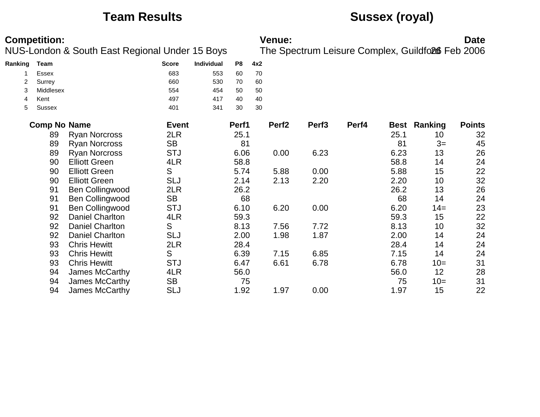## **Team Results Sussex (royal)**

| <b>Competition:</b><br>NUS-London & South East Regional Under 15 Boys |                     |                        |              |            | <b>Venue:</b><br>The Spectrum Leisure Complex, Guildfo26 Feb 2006 |     |                   |                   |       |      | <b>Date</b>         |               |  |
|-----------------------------------------------------------------------|---------------------|------------------------|--------------|------------|-------------------------------------------------------------------|-----|-------------------|-------------------|-------|------|---------------------|---------------|--|
|                                                                       |                     |                        |              |            |                                                                   |     |                   |                   |       |      |                     |               |  |
| Ranking                                                               | Team                |                        | <b>Score</b> | Individual | P <sub>8</sub>                                                    | 4x2 |                   |                   |       |      |                     |               |  |
|                                                                       | Essex               |                        | 683          | 553        | 60                                                                | 70  |                   |                   |       |      |                     |               |  |
| 2                                                                     | Surrey              |                        | 660          | 530        | 70                                                                | 60  |                   |                   |       |      |                     |               |  |
| 3                                                                     | Middlesex           |                        | 554          | 454        | 50                                                                | 50  |                   |                   |       |      |                     |               |  |
| 4                                                                     | Kent                |                        | 497          | 417        | 40                                                                | 40  |                   |                   |       |      |                     |               |  |
| 5                                                                     | <b>Sussex</b>       |                        | 401          | 341        | 30                                                                | 30  |                   |                   |       |      |                     |               |  |
|                                                                       | <b>Comp No Name</b> |                        | <b>Event</b> |            | Perf1                                                             |     | Perf <sub>2</sub> | Perf <sub>3</sub> | Perf4 |      | <b>Best Ranking</b> | <b>Points</b> |  |
|                                                                       | 89                  | <b>Ryan Norcross</b>   | 2LR          |            | 25.1                                                              |     |                   |                   |       | 25.1 | 10                  | 32            |  |
|                                                                       | 89                  | <b>Ryan Norcross</b>   | <b>SB</b>    |            | 81                                                                |     |                   |                   |       | 81   | $3=$                | 45            |  |
|                                                                       | 89                  | <b>Ryan Norcross</b>   | <b>STJ</b>   |            | 6.06                                                              |     | 0.00              | 6.23              |       | 6.23 | 13                  | 26            |  |
|                                                                       | 90                  | <b>Elliott Green</b>   | 4LR          |            | 58.8                                                              |     |                   |                   |       | 58.8 | 14                  | 24            |  |
|                                                                       | 90                  | <b>Elliott Green</b>   | S            |            | 5.74                                                              |     | 5.88              | 0.00              |       | 5.88 | 15                  | 22            |  |
|                                                                       | 90                  | <b>Elliott Green</b>   | <b>SLJ</b>   |            | 2.14                                                              |     | 2.13              | 2.20              |       | 2.20 | 10                  | 32            |  |
|                                                                       | 91                  | <b>Ben Collingwood</b> | 2LR          |            | 26.2                                                              |     |                   |                   |       | 26.2 | 13                  | 26            |  |
|                                                                       | 91                  | <b>Ben Collingwood</b> | <b>SB</b>    |            | 68                                                                |     |                   |                   |       | 68   | 14                  | 24            |  |
|                                                                       | 91                  | <b>Ben Collingwood</b> | <b>STJ</b>   |            | 6.10                                                              |     | 6.20              | 0.00              |       | 6.20 | $14=$               | 23            |  |
|                                                                       | 92                  | <b>Daniel Charlton</b> | 4LR          |            | 59.3                                                              |     |                   |                   |       | 59.3 | 15                  | 22            |  |
|                                                                       | 92                  | <b>Daniel Charlton</b> | S            |            | 8.13                                                              |     | 7.56              | 7.72              |       | 8.13 | 10                  | 32            |  |
|                                                                       | 92                  | <b>Daniel Charlton</b> | <b>SLJ</b>   |            | 2.00                                                              |     | 1.98              | 1.87              |       | 2.00 | 14                  | 24            |  |
|                                                                       | 93                  | <b>Chris Hewitt</b>    | 2LR          |            | 28.4                                                              |     |                   |                   |       | 28.4 | 14                  | 24            |  |
|                                                                       | 93                  | <b>Chris Hewitt</b>    | S            |            | 6.39                                                              |     | 7.15              | 6.85              |       | 7.15 | 14                  | 24            |  |
|                                                                       | 93                  | <b>Chris Hewitt</b>    | <b>STJ</b>   |            | 6.47                                                              |     | 6.61              | 6.78              |       | 6.78 | $10=$               | 31            |  |
|                                                                       | 94                  | James McCarthy         | 4LR          |            | 56.0                                                              |     |                   |                   |       | 56.0 | 12                  | 28            |  |
|                                                                       | 94                  | James McCarthy         | <b>SB</b>    |            | 75                                                                |     |                   |                   |       | 75   | $10=$               | 31            |  |
|                                                                       | 94                  | James McCarthy         | <b>SLJ</b>   |            | 1.92                                                              |     | 1.97              | 0.00              |       | 1.97 | 15                  | 22            |  |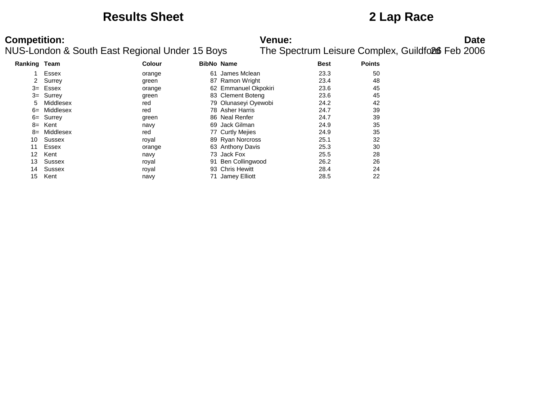### **Results Sheet 2 Lap Race**

# **Competition:**<br>**Date**<br>NUS-London & South East Regional Under 15 Boys The Spectrum Leisure Complex, Guildfoll Feb 2006

| <b>Ranking Team</b> |              | <b>Colour</b> |    | <b>BibNo Name</b>    | <b>Best</b> | <b>Points</b> |
|---------------------|--------------|---------------|----|----------------------|-------------|---------------|
|                     | Essex        | orange        | 61 | James Mclean         | 23.3        | 50            |
| 2                   | Surrey       | green         |    | 87 Ramon Wright      | 23.4        | 48            |
| $3=$                | Essex        | orange        |    | 62 Emmanuel Okpokiri | 23.6        | 45            |
|                     | $3 =$ Surrey | green         |    | 83 Clement Boteng    | 23.6        | 45            |
| 5                   | Middlesex    | red           |    | 79 Olunaseyi Oyewobi | 24.2        | 42            |
| $6=$                | Middlesex    | red           |    | 78 Asher Harris      | 24.7        | 39            |
| 6=                  | Surrey       | green         |    | 86 Neal Renfer       | 24.7        | 39            |
| 8=                  | Kent         | navy          |    | 69 Jack Gilman       | 24.9        | 35            |
| $8=$                | Middlesex    | red           |    | 77 Curtly Mejies     | 24.9        | 35            |
| 10                  | Sussex       | royal         |    | 89 Ryan Norcross     | 25.1        | 32            |
| 11                  | Essex        | orange        |    | 63 Anthony Davis     | 25.3        | 30            |
| 12                  | Kent         | navy          |    | 73 Jack Fox          | 25.5        | 28            |
| 13                  | Sussex       | royal         |    | 91 Ben Collingwood   | 26.2        | 26            |
| 14                  | Sussex       | royal         |    | 93 Chris Hewitt      | 28.4        | 24            |
| 15                  | Kent         | navy          |    | 71 Jamey Elliott     | 28.5        | 22            |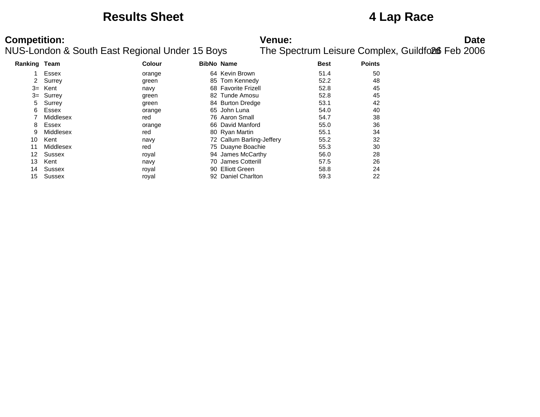### **Results Sheet 4 Lap Race**

# **Competition:**<br>**Date**<br>NUS-London & South East Regional Under 15 Boys The Spectrum Leisure Complex, Guildfoll Feb 2006

| <b>Ranking Team</b> |               | <b>Colour</b> | <b>BibNo Name</b>         | <b>Best</b> | <b>Points</b> |
|---------------------|---------------|---------------|---------------------------|-------------|---------------|
|                     | Essex         | orange        | 64 Kevin Brown            | 51.4        | 50            |
| 2                   | Surrey        | green         | 85 Tom Kennedy            | 52.2        | 48            |
| $3=$                | Kent          | navy          | 68 Favorite Frizell       | 52.8        | 45            |
|                     | $3 =$ Surrey  | green         | 82 Tunde Amosu            | 52.8        | 45            |
| 5                   | Surrey        | green         | 84 Burton Dredge          | 53.1        | 42            |
| 6                   | Essex         | orange        | 65 John Luna              | 54.0        | 40            |
|                     | Middlesex     | red           | 76 Aaron Small            | 54.7        | 38            |
| 8                   | Essex         | orange        | 66 David Manford          | 55.0        | 36            |
| 9                   | Middlesex     | red           | 80 Ryan Martin            | 55.1        | 34            |
| 10                  | Kent          | navy          | 72 Callum Barling-Jeffery | 55.2        | 32            |
| 11                  | Middlesex     | red           | 75 Duayne Boachie         | 55.3        | 30            |
| 12                  | Sussex        | royal         | 94 James McCarthy         | 56.0        | 28            |
| 13                  | Kent          | navy          | 70 James Cotterill        | 57.5        | 26            |
| 14                  | Sussex        | royal         | 90 Elliott Green          | 58.8        | 24            |
| 15                  | <b>Sussex</b> | roval         | 92 Daniel Charlton        | 59.3        | 22            |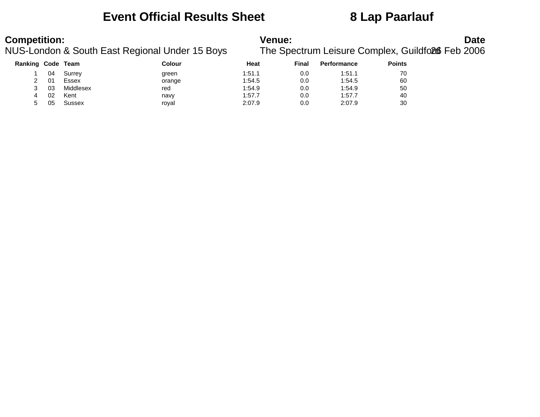### **Event Official Results Sheet 8 Lap Paarlauf**

# **Competition:**<br>**Date**<br>NUS-London & South East Regional Under 15 Boys The Spectrum Leisure Complex, Guildfoll Feb 2006

| Ranking Code Team |    |           | Colour | Heat   | Final | <b>Performance</b> | <b>Points</b> |
|-------------------|----|-----------|--------|--------|-------|--------------------|---------------|
|                   | 04 | Surrey    | green  | 1:51.1 | 0.0   | 1:51.1             | 70            |
|                   | 01 | Essex     | orange | 1:54.5 | 0.0   | 1:54.5             | 60            |
|                   | 03 | Middlesex | red    | 1:54.9 | 0.0   | 1:54.9             | 50            |
| Δ                 | 02 | Kent      | navv   | 1:57.7 | 0.0   | 1:57.7             | 40            |
| 5                 | 05 | Sussex    | royal  | 2:07.9 | 0.0   | 2:07.9             | 30            |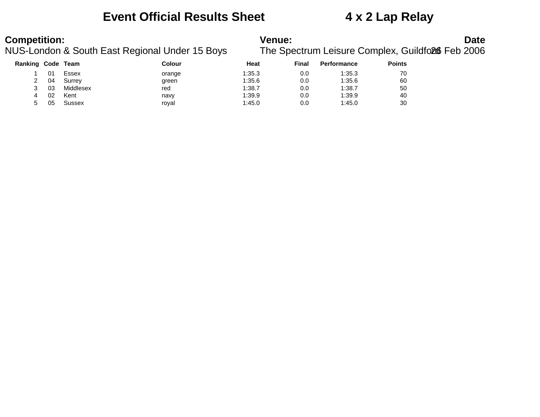### **Event Official Results Sheet 4 x 2 Lap Relay**

# **Competition:**<br>**Date**<br>NUS-London & South East Regional Under 15 Boys The Spectrum Leisure Complex, Guildfoll Feb 2006

| Ranking Code Team |    |           | Colour | Heat   | Final | <b>Performance</b> | <b>Points</b> |
|-------------------|----|-----------|--------|--------|-------|--------------------|---------------|
|                   | 01 | Essex     | orange | 1:35.3 | 0.0   | 1:35.3             | 70            |
|                   | 04 | Surrey    | green  | 1:35.6 | 0.0   | 1:35.6             | 60            |
|                   | 03 | Middlesex | red    | 1:38.7 | 0.0   | 1:38.7             | 50            |
|                   | 02 | Kent      | navy   | 1:39.9 | 0.0   | 1:39.9             | 40            |
| 5                 | 05 | Sussex    | royal  | 1:45.0 | 0.0   | 1:45.0             | 30            |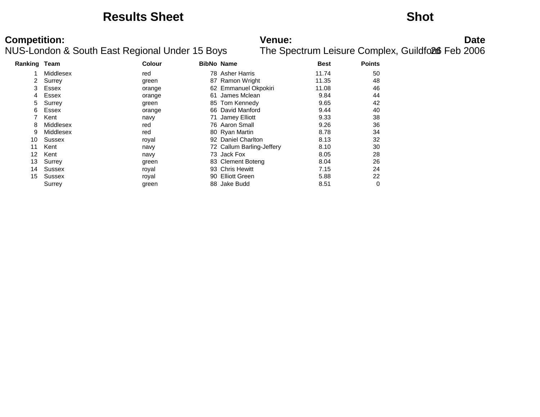### **Results Sheet Shot**

# **Competition:**<br>**Date**<br>NUS-London & South East Regional Under 15 Boys The Spectrum Leisure Complex, Guildfoll Feb 2006

| Ranking Team |               | <b>Colour</b> | <b>BibNo Name</b> |                           | <b>Best</b> | <b>Points</b> |
|--------------|---------------|---------------|-------------------|---------------------------|-------------|---------------|
|              | Middlesex     | red           |                   | 78 Asher Harris           | 11.74       | 50            |
| 2            | Surrey        | green         |                   | 87 Ramon Wright           | 11.35       | 48            |
| 3            | Essex         | orange        |                   | 62 Emmanuel Okpokiri      | 11.08       | 46            |
| 4            | Essex         | orange        | 61                | James Mclean              | 9.84        | 44            |
| 5            | Surrey        | green         |                   | 85 Tom Kennedy            | 9.65        | 42            |
| 6            | Essex         | orange        |                   | 66 David Manford          | 9.44        | 40            |
|              | Kent          | navy          | 71                | Jamey Elliott             | 9.33        | 38            |
| 8            | Middlesex     | red           |                   | 76 Aaron Small            | 9.26        | 36            |
| 9            | Middlesex     | red           |                   | 80 Ryan Martin            | 8.78        | 34            |
| 10           | <b>Sussex</b> | royal         |                   | 92 Daniel Charlton        | 8.13        | 32            |
| 11           | Kent          | navy          |                   | 72 Callum Barling-Jeffery | 8.10        | 30            |
| 12           | Kent          | navy          |                   | 73 Jack Fox               | 8.05        | 28            |
| 13           | Surrey        | green         |                   | 83 Clement Boteng         | 8.04        | 26            |
| 14           | <b>Sussex</b> | royal         | 93                | <b>Chris Hewitt</b>       | 7.15        | 24            |
| 15           | Sussex        | royal         | 90                | <b>Elliott Green</b>      | 5.88        | 22            |
|              | Surrey        | green         |                   | 88 Jake Budd              | 8.51        | 0             |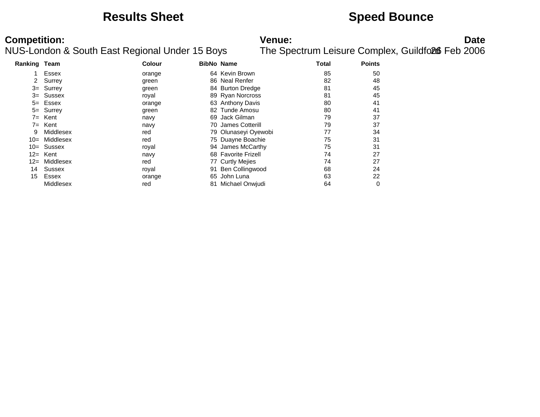### **Results Sheet Speed Bounce**

# **Competition:**<br>**Date**<br>NUS-London & South East Regional Under 15 Boys The Spectrum Leisure Complex, Guildfoll Feb 2006

| Ranking Team |               | <b>Colour</b> |    | <b>BibNo Name</b>    | Total | <b>Points</b> |
|--------------|---------------|---------------|----|----------------------|-------|---------------|
|              | Essex         | orange        |    | 64 Kevin Brown       | 85    | 50            |
| 2            | Surrey        | green         |    | 86 Neal Renfer       | 82    | 48            |
|              | $3 =$ Surrey  | green         |    | 84 Burton Dredge     | 81    | 45            |
|              | $3 =$ Sussex  | royal         |    | 89 Ryan Norcross     | 81    | 45            |
|              | $5 =$ Essex   | orange        |    | 63 Anthony Davis     | 80    | 41            |
|              | 5= Surrey     | green         |    | 82 Tunde Amosu       | 80    | 41            |
| $7 =$        | Kent          | navy          | 69 | Jack Gilman          | 79    | 37            |
| $7 =$        | Kent          | navy          |    | 70 James Cotterill   | 79    | 37            |
| 9            | Middlesex     | red           |    | 79 Olunaseyi Oyewobi | 77    | 34            |
| $10 =$       | Middlesex     | red           |    | 75 Duayne Boachie    | 75    | 31            |
|              | $10 =$ Sussex | royal         |    | 94 James McCarthy    | 75    | 31            |
|              | $12=$ Kent    | navy          |    | 68 Favorite Frizell  | 74    | 27            |
| $12 =$       | Middlesex     | red           |    | 77 Curtly Mejies     | 74    | 27            |
| 14           | Sussex        | royal         | 91 | Ben Collingwood      | 68    | 24            |
| 15           | Essex         | orange        | 65 | John Luna            | 63    | 22            |
|              | Middlesex     | red           |    | 81 Michael Onwiudi   | 64    | 0             |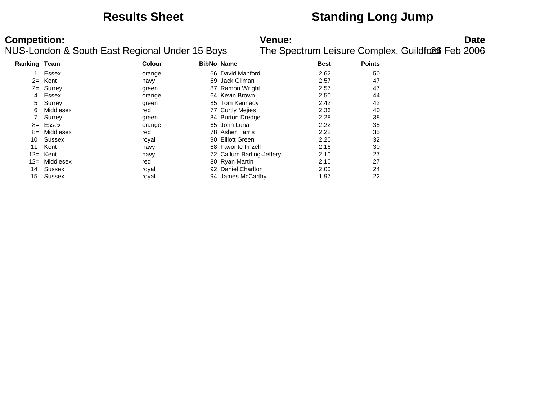### **Results Sheet Standing Long Jump**

### **Competition:**<br>**Date**<br>NUS-London & South East Regional Under 15 Boys The Spectrum Leisure Complex, Guildfoll Feb 2006 The Spectrum Leisure Complex, Guildford Feb 2006

| Ranking Team |               | Colour | <b>BibNo Name</b> |                           | <b>Best</b> | <b>Points</b> |
|--------------|---------------|--------|-------------------|---------------------------|-------------|---------------|
|              | Essex         | orange |                   | 66 David Manford          | 2.62        | 50            |
|              | $2=$ Kent     | navy   |                   | 69 Jack Gilman            | 2.57        | 47            |
| $2 =$        | Surrey        | green  | 87                | Ramon Wright              | 2.57        | 47            |
| 4            | Essex         | orange |                   | 64 Kevin Brown            | 2.50        | 44            |
| 5            | Surrey        | green  |                   | 85 Tom Kennedy            | 2.42        | 42            |
| 6            | Middlesex     | red    |                   | 77 Curtly Mejies          | 2.36        | 40            |
|              | Surrey        | green  |                   | 84 Burton Dredge          | 2.28        | 38            |
|              | 8= Essex      | orange |                   | 65 John Luna              | 2.22        | 35            |
| $8=$         | Middlesex     | red    |                   | 78 Asher Harris           | 2.22        | 35            |
| 10           | Sussex        | royal  |                   | 90 Elliott Green          | 2.20        | 32            |
| 11           | Kent          | navy   |                   | 68 Favorite Frizell       | 2.16        | 30            |
|              | $12=$ Kent    | navy   |                   | 72 Callum Barling-Jeffery | 2.10        | 27            |
| $12 =$       | Middlesex     | red    |                   | 80 Ryan Martin            | 2.10        | 27            |
| 14           | Sussex        | royal  |                   | 92 Daniel Charlton        | 2.00        | 24            |
| 15           | <b>Sussex</b> | roval  |                   | 94 James McCarthy         | 1.97        | 22            |